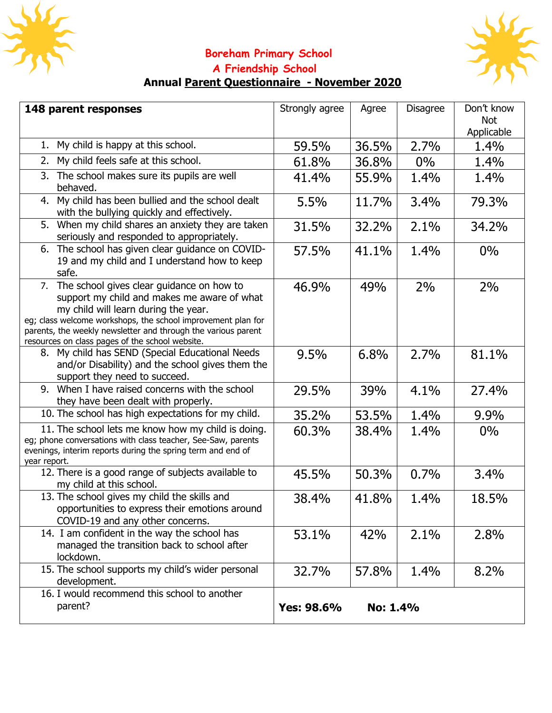



## **Boreham Primary School A Friendship School**

## **Annual Parent Questionnaire - November 2020**

| 148 parent responses                                                                                                                                                                                                                                                                                                    | Strongly agree | Agree    | <b>Disagree</b> | Don't know        |
|-------------------------------------------------------------------------------------------------------------------------------------------------------------------------------------------------------------------------------------------------------------------------------------------------------------------------|----------------|----------|-----------------|-------------------|
|                                                                                                                                                                                                                                                                                                                         |                |          |                 | Not<br>Applicable |
| 1. My child is happy at this school.                                                                                                                                                                                                                                                                                    | 59.5%          | 36.5%    | 2.7%            | 1.4%              |
| My child feels safe at this school.<br>2.                                                                                                                                                                                                                                                                               |                |          |                 |                   |
|                                                                                                                                                                                                                                                                                                                         | 61.8%          | 36.8%    | $0\%$           | 1.4%              |
| 3. The school makes sure its pupils are well<br>behaved.                                                                                                                                                                                                                                                                | 41.4%          | 55.9%    | 1.4%            | 1.4%              |
| 4. My child has been bullied and the school dealt<br>with the bullying quickly and effectively.                                                                                                                                                                                                                         | 5.5%           | 11.7%    | 3.4%            | 79.3%             |
| 5. When my child shares an anxiety they are taken<br>seriously and responded to appropriately.                                                                                                                                                                                                                          | 31.5%          | 32.2%    | 2.1%            | 34.2%             |
| 6. The school has given clear guidance on COVID-<br>19 and my child and I understand how to keep<br>safe.                                                                                                                                                                                                               | 57.5%          | 41.1%    | 1.4%            | $0\%$             |
| 7. The school gives clear guidance on how to<br>support my child and makes me aware of what<br>my child will learn during the year.<br>eq; class welcome workshops, the school improvement plan for<br>parents, the weekly newsletter and through the various parent<br>resources on class pages of the school website. | 46.9%          | 49%      | 2%              | 2%                |
| 8. My child has SEND (Special Educational Needs<br>and/or Disability) and the school gives them the<br>support they need to succeed.                                                                                                                                                                                    | 9.5%           | 6.8%     | 2.7%            | 81.1%             |
| 9. When I have raised concerns with the school<br>they have been dealt with properly.                                                                                                                                                                                                                                   | 29.5%          | 39%      | 4.1%            | 27.4%             |
| 10. The school has high expectations for my child.                                                                                                                                                                                                                                                                      | 35.2%          | 53.5%    | 1.4%            | 9.9%              |
| 11. The school lets me know how my child is doing.<br>eg; phone conversations with class teacher, See-Saw, parents<br>evenings, interim reports during the spring term and end of<br>year report.                                                                                                                       | 60.3%          | 38.4%    | 1.4%            | $0\%$             |
| 12. There is a good range of subjects available to<br>my child at this school.                                                                                                                                                                                                                                          | 45.5%          | 50.3%    | 0.7%            | 3.4%              |
| 13. The school gives my child the skills and<br>opportunities to express their emotions around<br>COVID-19 and any other concerns.                                                                                                                                                                                      | 38.4%          | 41.8%    | 1.4%            | 18.5%             |
| 14. I am confident in the way the school has<br>managed the transition back to school after<br>lockdown.                                                                                                                                                                                                                | 53.1%          | 42%      | 2.1%            | 2.8%              |
| 15. The school supports my child's wider personal<br>development.                                                                                                                                                                                                                                                       | 32.7%          | 57.8%    | 1.4%            | 8.2%              |
| 16. I would recommend this school to another<br>parent?                                                                                                                                                                                                                                                                 | Yes: 98.6%     | No: 1.4% |                 |                   |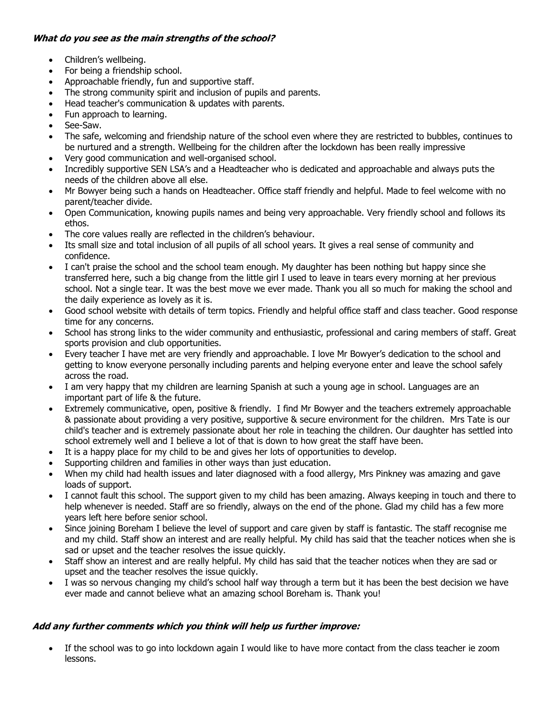## **What do you see as the main strengths of the school?**

- Children's wellbeing.
- For being a friendship school.
- Approachable friendly, fun and supportive staff.
- The strong community spirit and inclusion of pupils and parents.
- Head teacher's communication & updates with parents.
- Fun approach to learning.
- See-Saw.
- The safe, welcoming and friendship nature of the school even where they are restricted to bubbles, continues to be nurtured and a strength. Wellbeing for the children after the lockdown has been really impressive
- Very good communication and well-organised school.
- Incredibly supportive SEN LSA's and a Headteacher who is dedicated and approachable and always puts the needs of the children above all else.
- Mr Bowyer being such a hands on Headteacher. Office staff friendly and helpful. Made to feel welcome with no parent/teacher divide.
- Open Communication, knowing pupils names and being very approachable. Very friendly school and follows its ethos.
- The core values really are reflected in the children's behaviour.
- Its small size and total inclusion of all pupils of all school years. It gives a real sense of community and confidence.
- I can't praise the school and the school team enough. My daughter has been nothing but happy since she transferred here, such a big change from the little girl I used to leave in tears every morning at her previous school. Not a single tear. It was the best move we ever made. Thank you all so much for making the school and the daily experience as lovely as it is.
- Good school website with details of term topics. Friendly and helpful office staff and class teacher. Good response time for any concerns.
- School has strong links to the wider community and enthusiastic, professional and caring members of staff. Great sports provision and club opportunities.
- Every teacher I have met are very friendly and approachable. I love Mr Bowyer's dedication to the school and getting to know everyone personally including parents and helping everyone enter and leave the school safely across the road.
- I am very happy that my children are learning Spanish at such a young age in school. Languages are an important part of life & the future.
- Extremely communicative, open, positive & friendly. I find Mr Bowyer and the teachers extremely approachable & passionate about providing a very positive, supportive & secure environment for the children. Mrs Tate is our child's teacher and is extremely passionate about her role in teaching the children. Our daughter has settled into school extremely well and I believe a lot of that is down to how great the staff have been.
- It is a happy place for my child to be and gives her lots of opportunities to develop.
- Supporting children and families in other ways than just education.
- When my child had health issues and later diagnosed with a food allergy, Mrs Pinkney was amazing and gave loads of support.
- I cannot fault this school. The support given to my child has been amazing. Always keeping in touch and there to help whenever is needed. Staff are so friendly, always on the end of the phone. Glad my child has a few more years left here before senior school.
- Since joining Boreham I believe the level of support and care given by staff is fantastic. The staff recognise me and my child. Staff show an interest and are really helpful. My child has said that the teacher notices when she is sad or upset and the teacher resolves the issue quickly.
- Staff show an interest and are really helpful. My child has said that the teacher notices when they are sad or upset and the teacher resolves the issue quickly.
- I was so nervous changing my child's school half way through a term but it has been the best decision we have ever made and cannot believe what an amazing school Boreham is. Thank you!

## **Add any further comments which you think will help us further improve:**

If the school was to go into lockdown again I would like to have more contact from the class teacher ie zoom lessons.